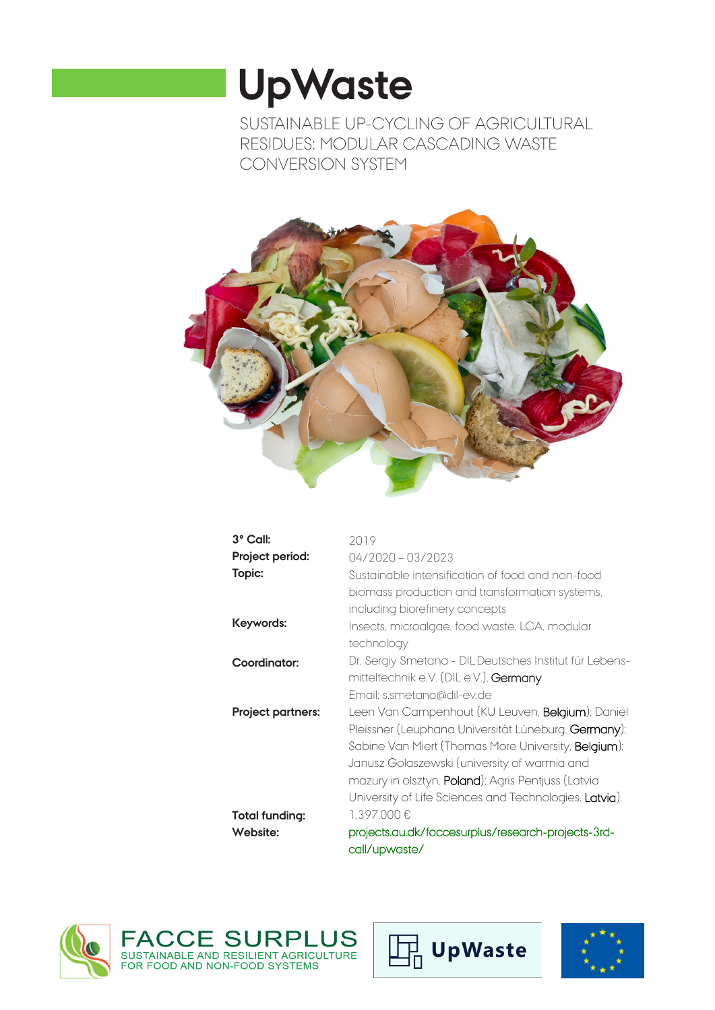# **UpWaste**

SUSTAINABLE UP-CYCLING OF AGRICULTURAL RESIDUES: MODULAR CASCADING WASTE CONVERSION SYSTEM



| 3° Call:                 | 2019                                                       |
|--------------------------|------------------------------------------------------------|
| Project period:          | $04/2020 - 03/2023$                                        |
| Topic:                   | Sustainable intensification of food and non-food           |
|                          | biomass production and transformation systems.             |
|                          | including biorefinery concepts                             |
| Keywords:                | Insects, microalgae, food waste, LCA, modular              |
|                          | technology                                                 |
| Coordinator:             | Dr. Sergiy Smetana - DILDeutsches Institut für Lebens-     |
|                          | mitteltechnik e.V. (DIL e.V.). Germany                     |
|                          | Email: s.smetana@dil-ev.de                                 |
| <b>Project partners:</b> | Leen Van Campenhout (KU Leuven, <b>Belgium</b> ); Daniel   |
|                          | Pleissner (Leuphana Universität Lüneburg, Germany);        |
|                          | Sabine Van Miert (Thomas More University, Belgium);        |
|                          | Janusz Golaszewski (university of warmia and               |
|                          | mazury in olsztyn, <b>Poland</b> ); Agris Pentjuss (Latvia |
|                          | University of Life Sciences and Technologies, Latvia).     |
| Total funding:           | 1.397.000€                                                 |
| Website:                 | projects.au.dk/faccesurplus/research-projects-3rd-         |
|                          | call/upwaste/                                              |